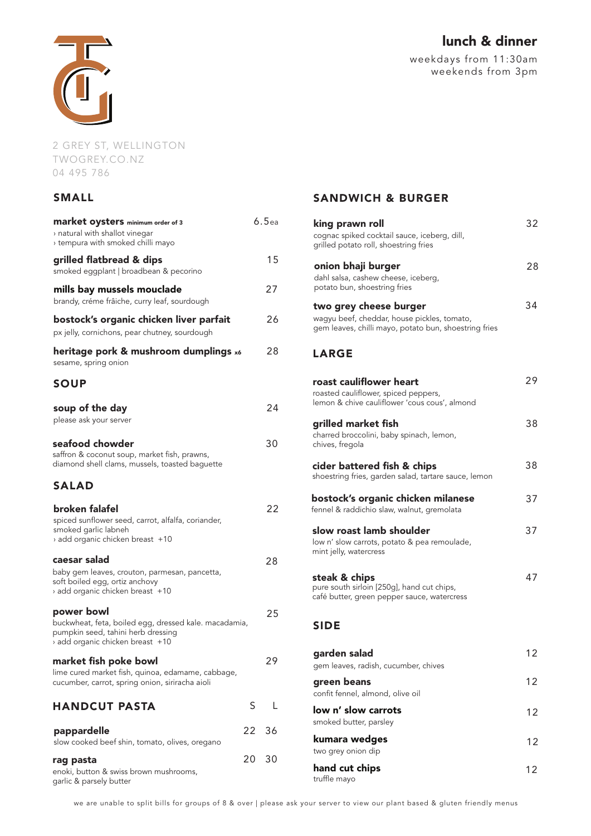

2 GREY ST, WELLINGTON TWOGREY.CO.NZ 04 495 786

# SMALL

| <b>market oysters</b> minimum order of 3<br>> natural with shallot vinegar<br>tempura with smoked chilli mayo {                             |    | 6.5 <sub>ea</sub> |
|---------------------------------------------------------------------------------------------------------------------------------------------|----|-------------------|
| grilled flatbread & dips<br>smoked eggplant   broadbean & pecorino                                                                          |    | 15                |
| mills bay mussels mouclade<br>brandy, créme frâiche, curry leaf, sourdough                                                                  |    | 27                |
| bostock's organic chicken liver parfait<br>px jelly, cornichons, pear chutney, sourdough                                                    |    | 26                |
| heritage pork & mushroom dumplings x6<br>sesame, spring onion                                                                               |    | 28                |
| <b>SOUP</b>                                                                                                                                 |    |                   |
| soup of the day<br>please ask your server                                                                                                   |    | 24                |
| seafood chowder<br>saffron & coconut soup, market fish, prawns,<br>diamond shell clams, mussels, toasted baguette                           |    | 30                |
| <b>SALAD</b>                                                                                                                                |    |                   |
| broken falafel<br>spiced sunflower seed, carrot, alfalfa, coriander,<br>smoked garlic labneh<br>add organic chicken breast +10              |    | 22                |
| caesar salad<br>baby gem leaves, crouton, parmesan, pancetta,<br>soft boiled egg, ortiz anchovy<br>add organic chicken breast +10           |    | 28                |
| power bowl<br>buckwheat, feta, boiled egg, dressed kale. macadamia,<br>pumpkin seed, tahini herb dressing<br>add organic chicken breast +10 |    | 25                |
| market fish poke bowl<br>lime cured market fish, quinoa, edamame, cabbage,<br>cucumber, carrot, spring onion, siriracha aioli               |    | 29                |
| <b>HANDCUT PASTA</b>                                                                                                                        | S  | L                 |
| pappardelle<br>slow cooked beef shin, tomato, olives, oregano                                                                               |    | 22 36             |
| rag pasta<br>enoki, button & swiss brown mushrooms,<br>garlic & parsely butter                                                              | 20 | 30                |

lunch & dinner

weekdays from 11:30am weekends from 3pm

# SANDWICH & BURGER

| king prawn roll<br>cognac spiked cocktail sauce, iceberg, dill,<br>grilled potato roll, shoestring fries                       | 32 |
|--------------------------------------------------------------------------------------------------------------------------------|----|
| onion bhaji burger<br>dahl salsa, cashew cheese, iceberg,<br>potato bun, shoestring fries                                      | 28 |
| two grey cheese burger<br>wagyu beef, cheddar, house pickles, tomato,<br>gem leaves, chilli mayo, potato bun, shoestring fries | 34 |
| <b>LARGE</b>                                                                                                                   |    |
| roast cauliflower heart<br>roasted cauliflower, spiced peppers,<br>lemon & chive cauliflower 'cous cous', almond               | 29 |
| grilled market fish<br>charred broccolini, baby spinach, lemon,<br>chives, fregola                                             | 38 |
| cider battered fish & chips<br>shoestring fries, garden salad, tartare sauce, lemon                                            | 38 |
| bostock's organic chicken milanese<br>fennel & raddichio slaw, walnut, gremolata                                               | 37 |
| slow roast lamb shoulder<br>low n' slow carrots, potato & pea remoulade,<br>mint jelly, watercress                             | 37 |
| steak & chips<br>pure south sirloin [250g], hand cut chips,<br>café butter, green pepper sauce, watercress                     | 47 |
| <b>SIDE</b>                                                                                                                    |    |
| garden salad<br>gem leaves, radish, cucumber, chives                                                                           | 12 |
| green beans<br>confit fennel, almond, olive oil                                                                                | 12 |
| low n' slow carrots<br>smoked butter, parsley                                                                                  | 12 |
| kumara wedges<br>two grey onion dip                                                                                            | 12 |
| hand cut chips<br>truffle mayo                                                                                                 | 12 |

we are unable to split bills for groups of 8 & over | please ask your server to view our plant based & gluten friendly menus